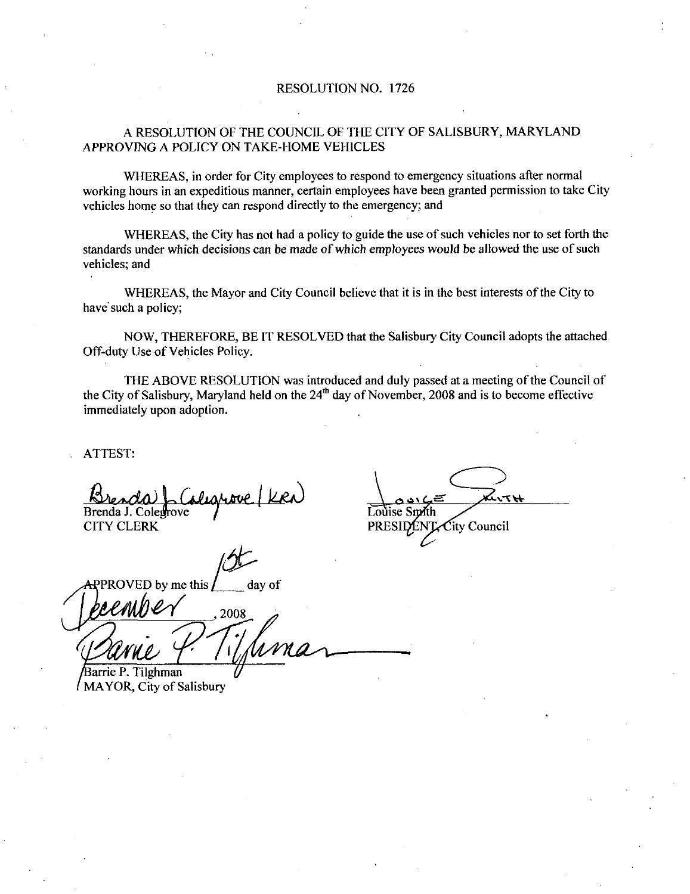#### RESOLUTION NO. 1726

#### A RESOLUTION OF THE COUNCIL OF THE CITY OF SALISBURY, MARYLAND APPROVING A POLICY ON TAKE-HOME VEHICLES

WHEREAS, in order for City employees to respond to emergency situations after normal working hours in an expeditious manner, certain employees have been granted permission to take City vehicles home so that they can respond directly to the emergency; and

WHEREAS, the City has not had a policy to guide the use of such vehicles nor to set forth the standards under which decisions can be made of which employees would be allowed the use of such vehicles; and

WHEREAS, the Mayor and City Council believe that it is in the best interests of the City to have such a policy

NOW, THEREFORE, BE IT RESOLVED that the Salisbury City Council adopts the attached Off-duty Use of Vehicles Policy.

THE ABOVE RESOLUTION was introduced and duly passed at a meeting of the Council of the City of Salisbury. Maryland held on the  $24<sup>th</sup>$  day of November, 2008 and is to become effective immediately upon adoption

ATTEST

Brenda J. Coledrove

CITY CLERK

ED by me this  $\int$  day of 2008 Barrie P. Tilghman ove | K<br>If<br>algority<br>If the v

/ MAYOR, City of Salisbury

Louise Smith  $\epsilon$ ity Council PRESIDENT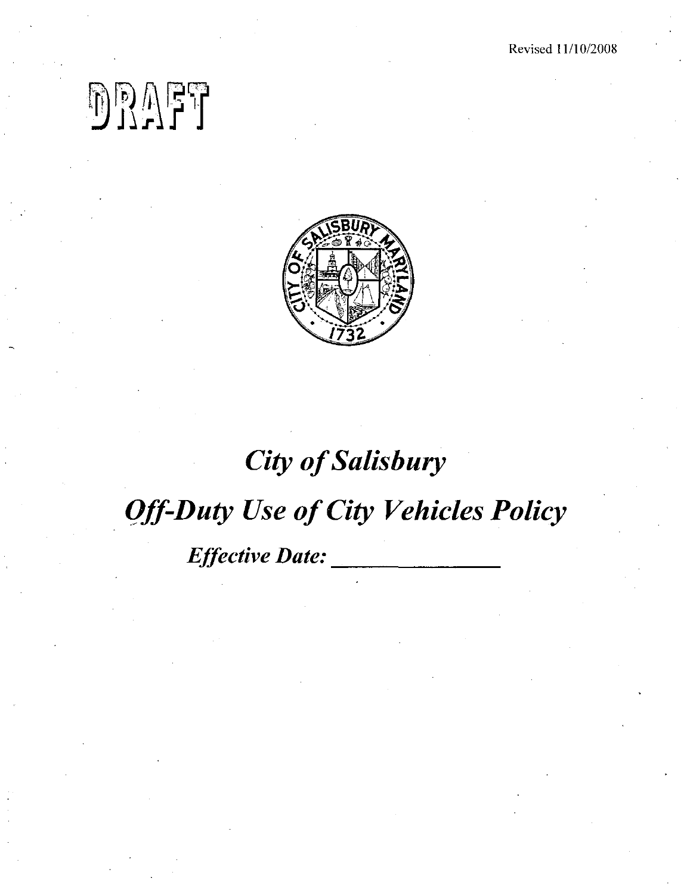Revised 11/10/2008

## $\begin{picture}(20,10) \put(0,0){\line(1,0){10}} \put(15,0){\line(1,0){10}} \put(15,0){\line(1,0){10}} \put(15,0){\line(1,0){10}} \put(15,0){\line(1,0){10}} \put(15,0){\line(1,0){10}} \put(15,0){\line(1,0){10}} \put(15,0){\line(1,0){10}} \put(15,0){\line(1,0){10}} \put(15,0){\line(1,0){10}} \put(15,0){\line(1,0){10}} \put(15,0){\line(1$



### **City of Salisbury Off-Duty Use of City Vehicles Policy** Effective Date: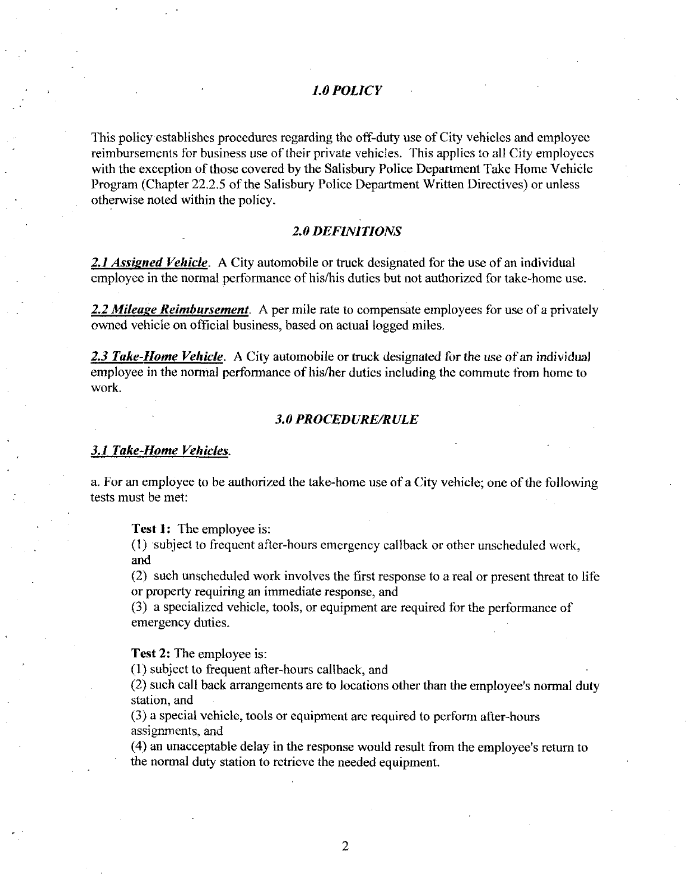#### L0POLICY

This policy establishes procedures regarding the off-duty use of City vehicles and employee reimbursements for business use of their private vehicles. This applies to all City employees with the exception of those covered by the Salisbury Police Department Take Home Vehicle Program (Chapter 22.2.5 of the Salisbur with the exception of those covered by the Salisbury Police Department Take Home Vehicle<br>Program (Chapter 22.2.5 of the Salisbury Police Department Written Directives) or unless otherwise noted within the policy

#### 20DEFINITIONS

2.1 Assigned Vehicle. A City automobile or truck designated for the use of an individual employee in the normal performance of his/his duties but not authorized for take-home use.

2.2 Mileage Reimbursement. A per mile rate to compensate employees for use of a privately owned vehicle on official business based on actual logged miles

2.3 Take-Home Vehicle. A City automobile or truck designated for the use of an individual employee in the normal performance of his/her duties including the commute from home to work

#### **3.0 PROCEDURE/RULE**

#### 3.1 Take-Home Vehicles.

a. For an employee to be authorized the take-home use of a City vehicle; one of the following tests must be met

**Test 1:** The employee is:

(1) subject to frequent after-hours emergency callback or other unscheduled work, and

2 such unscheduled work involves the first response to <sup>a</sup>real or present threat to life or property requiring an immediate response, and

or property requiring an immediate response, and<br>(3) a specialized vehicle, tools, or equipment are required for the performance of emergency duties

Test 2: The employee is:

(1) subject to frequent after-hours callback, and

23 a specialized vehicle, tools, or equipment are required for the performance emergency duties.<br> **12.** The employee is:<br>
(1) subject to frequent after-hours callback, and<br>
(2) such call back arrangements are to locations (2) such call back arrangements are to locations other than the employee's normal duty station, and

assignments, and

 $(4)$  an unacceptable delay in the response would result from the employee's return to the normal duty station to retrieve the needed equipment

2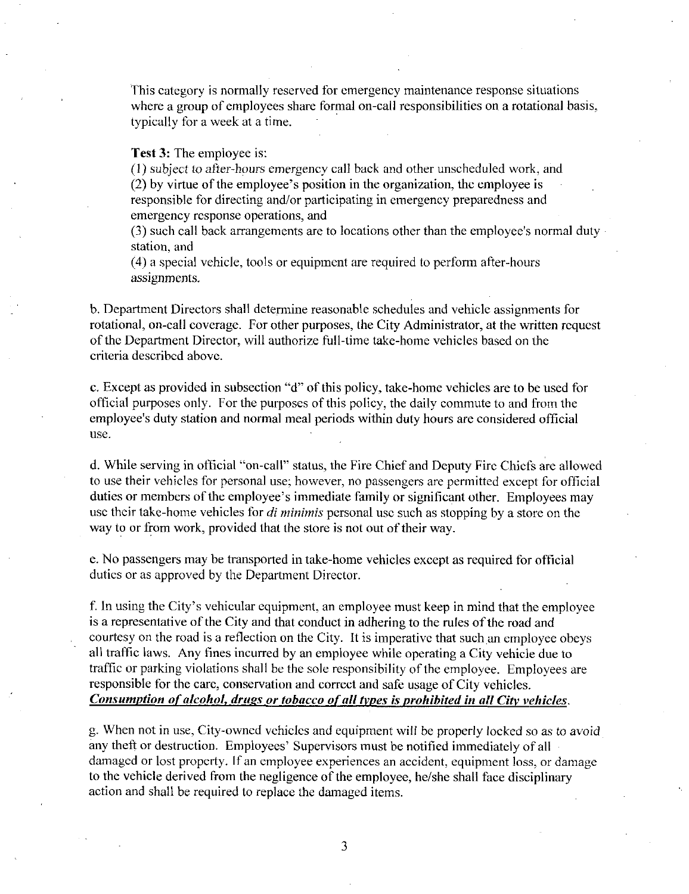This category is normally reserved for emergency maintenance response situations This category is normally reserved for emergency maintenance response situations where a group of employees share formal on-call responsibilities on a rotational basis, typically for a week at a time.

**Test 3:** The employee is:

(1) subject to after-hours emergency call back and other unscheduled work, and  $(2)$  by virtue of the employee's position in the organization, the employee is where a group of employees share formal on-call responsibilities on a rotation<br>typically for a week at a time.<br>**Test 3:** The employee is:<br>(1) subject to after-hours emergency call back and other unscheduled work,<br>(2) by vi  $r(2)$  by virtue of the employee's position in the organization, the employee is responsible for directing and/or participating in emergency preparedness and emergency response operations, and **Test 3:** The employee is:<br>(1) subject to after-hours emergency call back and other unscheduled work<br>(2) by virtue of the employee's position in the organization, the employee is<br>responsible for directing and/or participa

(3) such call back arrangements are to locations other than the employee's normal duty station, and

 $(4)$  a special vehicle, tools or equipment are required to perform after-hours assignments

b Department Directors shall determine reasonable schedules and vehicle assignments for b. Department Directors shall determine reasonable schedules and vehicle assignments for rotational, on-call coverage. For other purposes, the City Administrator, at the written request rotational, on-call coverage. For other purposes, the City Administrator, at the writte<br>of the Department Director, will authorize full-time take-home vehicles based on the criteria described above

c. Except as provided in subsection "d" of this policy, take-home vehicles are to be used for official purposes only. For the purposes of this policy, the daily commute to and from the employee's duty station and normal meal periods within duty hours are considered official of the Department Director, will authorize full-time take-home vehicles based on the criteria described above.<br>
c. Except as provided in subsection "d" of this policy, take-home vehicles are to be used forficial purposes o use

use.<br>d. While serving in official "on-call" status, the Fire Chief and Deputy Fire Chiefs are allowed<br>to use their vobiales for personal use: hours are no necessarious are normitted awant for efficial to use their vehicles for personal use; however, no passengers are permitted except for official duties or members of the employee's immediate family or significant other. Employees may employee's duty station and normal meal periods within duty hours are considered official<br>use.<br>d. While serving in official "on-call" status, the Fire Chief and Deputy Fire Chiefs are allowe<br>to use their vehicles for perso use their take-home vehicles for *di minimis* personal use such as stopping by a store on the way to or from work, provided that the store is not out of their way.

e. No passengers may be transported in take-home vehicles except as required for official duties or as approved by the Department Director

f. In using the City's vehicular equipment, an employee must keep in mind that the employee is a representative of the City and that conduct in adhering to the rules of the road and courtesy on the road is a reflection on the City. It is imperative that such an employee obeys all traffic laws. Any fines incurred by an employee while operating a City vehicle due to traffic or parking violations shall be the sole responsibility of the employee. Employees are responsible for the care, conservation and correct and safe usage of City vehicles. Consumption of alcohol, drugs or tobacco of all types is prohibited in all City vehicles.

<sup>g</sup> When not in use City owned vehicles and equipment wilt be properly locked so as to avoid any theft or destruction. Employees' Supervisors must be notified immediately of all damaged or lost property. If an employee experiences an accident, equipment loss, or damage to the vehicle derived from the negligence of the employee, he/she shall face disciplinary action and shall be required to replace the damaged items

 $\overline{3}$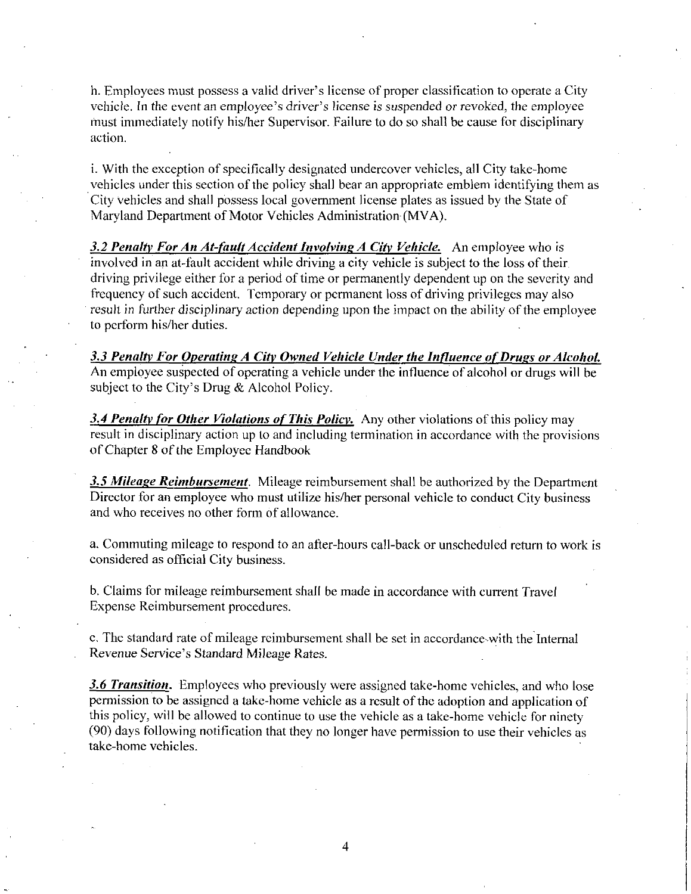h. Employees must possess a valid driver's license of proper classification to operate a City<br>vehicle. In the event an employee's driver's license is suspended or revoked, the employee It. Employees must possess a valid driver's license of proper classification to operate a City<br>vehicle. In the event an employee's driver's license is suspended or revoked, the employee<br>must immediately notify his/her Supe must immediately notify his/her Supervisor. Failure to do so shall be cause for disciplinary action

i. With the exception of specifically designated undercover vehicles, all City take-home vehicles under this section of the policy shall bear an appropriate emblem identifying them as City vehicles and shall possess local government license plates as issued by the State of Maryland Department of Motor Vehicles Administration (MVA).

3.2 Penalty For An At-fault Accident Involving A City Vehicle. An employee who is involved in an at fault accident while driving <sup>a</sup> city vehicle is subject to the loss of their driving privilege either for a period of time or permanently dependent up on the severity and frequency of such accident. Temporary or permanent loss of driving privileges may also result in further disciplinary action depending upon the impact on the ability of the employee to perform his/her duties.

result in further disciplinary action depending upon the impact on the ability of the employee<br>to perform his/her duties.<br>3.3 Penalty For Operating A City Owned Vehicle Under the Influence of Drugs or Alcohol.<br>An employee 3.3 Penalty For Operating A City Owned V.<br>An employee suspected of operating a vehic<br>subject to the City's Drug & Alcohol Policy.

3.4 Penalty for Other Violations of This Policy. Any other violations of this policy may result in disciplinary action up to and including termination in accordance with the provisions ofChapter <sup>8</sup> of the Employee Iandbook

3.5 Mileage Reimbursement. Mileage reimbursement shall be authorized by the Department Director for an employee who must utilize his/her personal vehicle to conduct City business and who receives no other form of allowance

a. Commuting mileage to respond to an after-hours call-back or unscheduled return to work is considered as official City business

b Claims for mileage reimbursement shall be made in accordance with current Travel Expense Reimbursement procedures

c. The standard rate of mileage reimbursement shall be set in accordance with the Internal b. Claims for mileage reimbursement shall<br>Expense Reimbursement procedures.<br>c. The standard rate of mileage reimbursem<br>Revenue Service's Standard Mileage Rates

3.6 Transition. Employees who previously were assigned take-home vehicles, and who lose permission to be assigned a take-home vehicle as a result of the adoption and application of this policy, will be allowed to continue to use the vehicle as a take-home vehicle for ninety (90) days following notification that they no longer have permission to use their vehicles as take-home vehicles.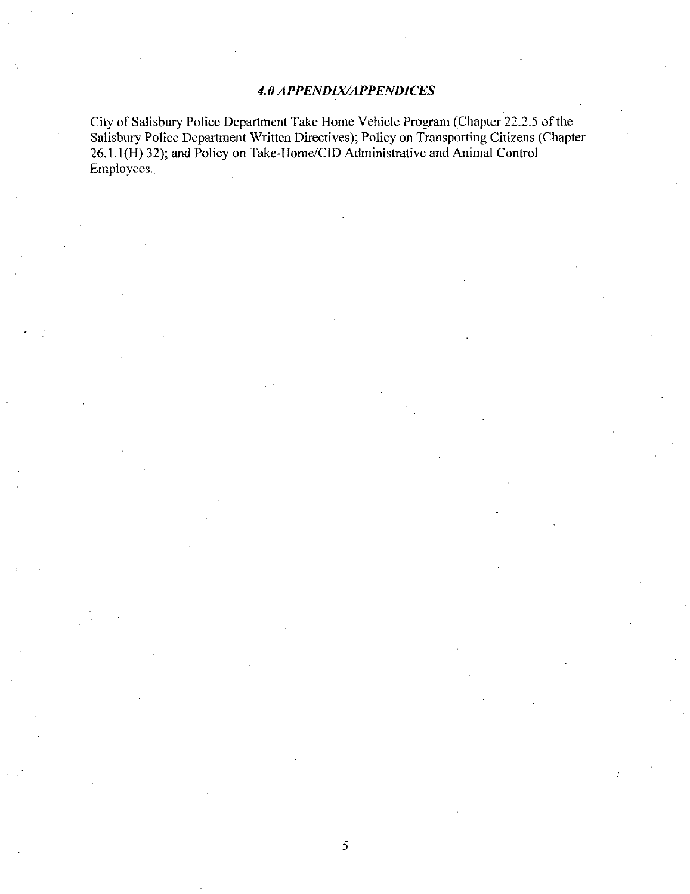#### 4.0 APPENDIX/APPENDICES

City of Salisbury Police Department Take Home Vehicle Program (Chapter 22.2.5 of the Salisbury Police Department Written Directives); Policy on Transporting Citizens (Chapter 26.1.1(H) 32); and Policy on Take-Home/CID Administrative and Animal Control Employees